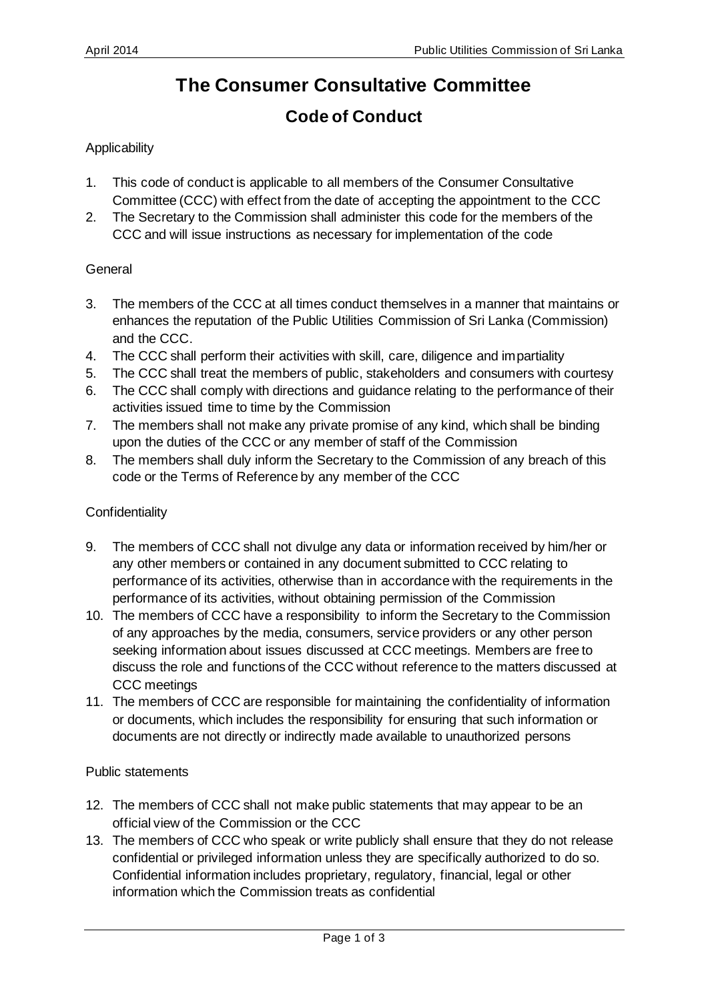# **The Consumer Consultative Committee**

# **Code of Conduct**

## **Applicability**

- 1. This code of conduct is applicable to all members of the Consumer Consultative Committee (CCC) with effect from the date of accepting the appointment to the CCC
- 2. The Secretary to the Commission shall administer this code for the members of the CCC and will issue instructions as necessary for implementation of the code

### General

- 3. The members of the CCC at all times conduct themselves in a manner that maintains or enhances the reputation of the Public Utilities Commission of Sri Lanka (Commission) and the CCC.
- 4. The CCC shall perform their activities with skill, care, diligence and impartiality
- 5. The CCC shall treat the members of public, stakeholders and consumers with courtesy
- 6. The CCC shall comply with directions and guidance relating to the performance of their activities issued time to time by the Commission
- 7. The members shall not make any private promise of any kind, which shall be binding upon the duties of the CCC or any member of staff of the Commission
- 8. The members shall duly inform the Secretary to the Commission of any breach of this code or the Terms of Reference by any member of the CCC

### **Confidentiality**

- 9. The members of CCC shall not divulge any data or information received by him/her or any other members or contained in any document submitted to CCC relating to performance of its activities, otherwise than in accordance with the requirements in the performance of its activities, without obtaining permission of the Commission
- 10. The members of CCC have a responsibility to inform the Secretary to the Commission of any approaches by the media, consumers, service providers or any other person seeking information about issues discussed at CCC meetings. Members are free to discuss the role and functions of the CCC without reference to the matters discussed at CCC meetings
- 11. The members of CCC are responsible for maintaining the confidentiality of information or documents, which includes the responsibility for ensuring that such information or documents are not directly or indirectly made available to unauthorized persons

#### Public statements

- 12. The members of CCC shall not make public statements that may appear to be an official view of the Commission or the CCC
- 13. The members of CCC who speak or write publicly shall ensure that they do not release confidential or privileged information unless they are specifically authorized to do so. Confidential information includes proprietary, regulatory, financial, legal or other information which the Commission treats as confidential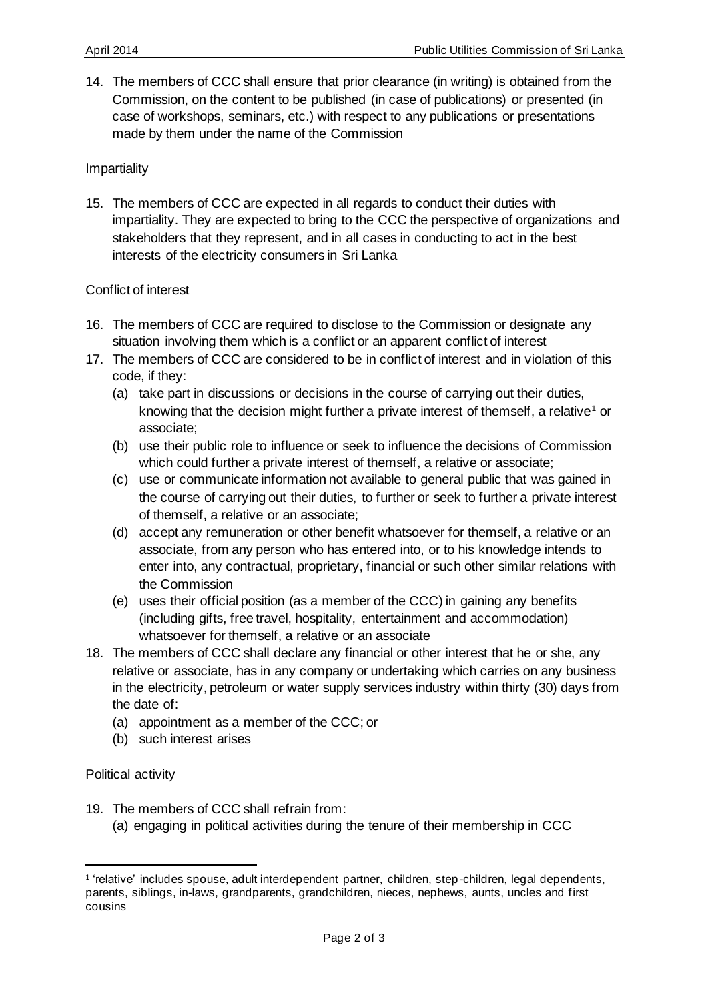14. The members of CCC shall ensure that prior clearance (in writing) is obtained from the Commission, on the content to be published (in case of publications) or presented (in case of workshops, seminars, etc.) with respect to any publications or presentations made by them under the name of the Commission

#### Impartiality

15. The members of CCC are expected in all regards to conduct their duties with impartiality. They are expected to bring to the CCC the perspective of organizations and stakeholders that they represent, and in all cases in conducting to act in the best interests of the electricity consumers in Sri Lanka

### Conflict of interest

- 16. The members of CCC are required to disclose to the Commission or designate any situation involving them which is a conflict or an apparent conflict of interest
- 17. The members of CCC are considered to be in conflict of interest and in violation of this code, if they:
	- (a) take part in discussions or decisions in the course of carrying out their duties, knowing that the decision might further a private interest of themself, a relative<sup>1</sup> or associate;
	- (b) use their public role to influence or seek to influence the decisions of Commission which could further a private interest of themself, a relative or associate;
	- (c) use or communicate information not available to general public that was gained in the course of carrying out their duties, to further or seek to further a private interest of themself, a relative or an associate;
	- (d) accept any remuneration or other benefit whatsoever for themself, a relative or an associate, from any person who has entered into, or to his knowledge intends to enter into, any contractual, proprietary, financial or such other similar relations with the Commission
	- (e) uses their official position (as a member of the CCC) in gaining any benefits (including gifts, free travel, hospitality, entertainment and accommodation) whatsoever for themself, a relative or an associate
- 18. The members of CCC shall declare any financial or other interest that he or she, any relative or associate, has in any company or undertaking which carries on any business in the electricity, petroleum or water supply services industry within thirty (30) days from the date of:
	- (a) appointment as a member of the CCC; or
	- (b) such interest arises

Political activity

- 19. The members of CCC shall refrain from:
	- (a) engaging in political activities during the tenure of their membership in CCC

<sup>&</sup>lt;sup>1</sup> 'relative' includes spouse, adult interdependent partner, children, step-children, legal dependents, parents, siblings, in-laws, grandparents, grandchildren, nieces, nephews, aunts, uncles and first cousins